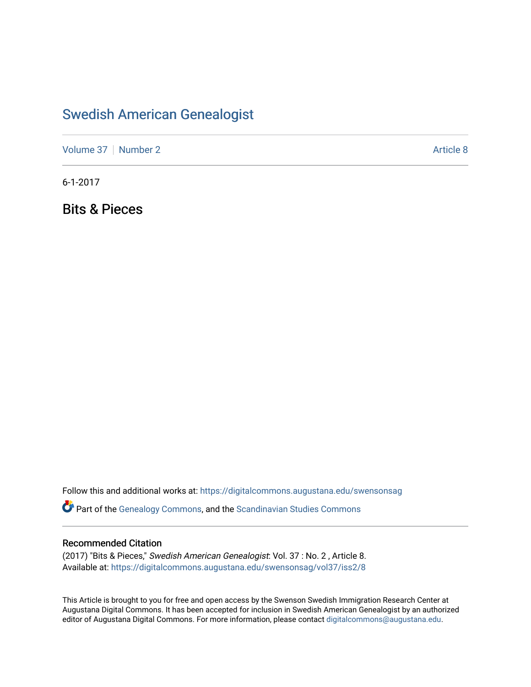## [Swedish American Genealogist](https://digitalcommons.augustana.edu/swensonsag)

[Volume 37](https://digitalcommons.augustana.edu/swensonsag/vol37) | [Number 2](https://digitalcommons.augustana.edu/swensonsag/vol37/iss2) Article 8

6-1-2017

Bits & Pieces

Follow this and additional works at: [https://digitalcommons.augustana.edu/swensonsag](https://digitalcommons.augustana.edu/swensonsag?utm_source=digitalcommons.augustana.edu%2Fswensonsag%2Fvol37%2Fiss2%2F8&utm_medium=PDF&utm_campaign=PDFCoverPages) 

**C** Part of the [Genealogy Commons,](http://network.bepress.com/hgg/discipline/1342?utm_source=digitalcommons.augustana.edu%2Fswensonsag%2Fvol37%2Fiss2%2F8&utm_medium=PDF&utm_campaign=PDFCoverPages) and the [Scandinavian Studies Commons](http://network.bepress.com/hgg/discipline/485?utm_source=digitalcommons.augustana.edu%2Fswensonsag%2Fvol37%2Fiss2%2F8&utm_medium=PDF&utm_campaign=PDFCoverPages)

#### Recommended Citation

(2017) "Bits & Pieces," Swedish American Genealogist: Vol. 37 : No. 2 , Article 8. Available at: [https://digitalcommons.augustana.edu/swensonsag/vol37/iss2/8](https://digitalcommons.augustana.edu/swensonsag/vol37/iss2/8?utm_source=digitalcommons.augustana.edu%2Fswensonsag%2Fvol37%2Fiss2%2F8&utm_medium=PDF&utm_campaign=PDFCoverPages) 

This Article is brought to you for free and open access by the Swenson Swedish Immigration Research Center at Augustana Digital Commons. It has been accepted for inclusion in Swedish American Genealogist by an authorized editor of Augustana Digital Commons. For more information, please contact [digitalcommons@augustana.edu.](mailto:digitalcommons@augustana.edu)